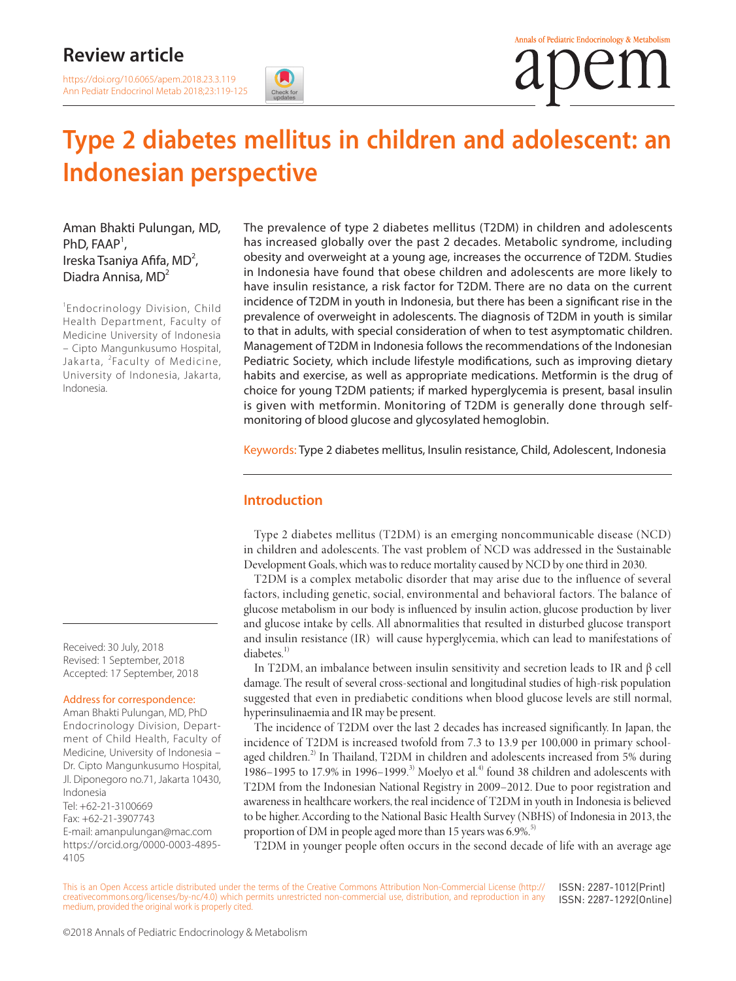# **Review article**

# **Type 2 diabetes mellitus in children and adolescent: an Indonesian perspective**

Aman Bhakti Pulungan, MD,  $PhD, FAAP<sup>1</sup>$ , Ireska Tsaniya Afifa, MD<sup>2</sup>, Diadra Annisa, MD<sup>2</sup>

1 Endocrinology Division, Child Health Department, Faculty of Medicine University of Indonesia – Cipto Mangunkusumo Hospital, Jakarta, <sup>2</sup>Faculty of Medicine, University of Indonesia, Jakarta, Indonesia.

The prevalence of type 2 diabetes mellitus (T2DM) in children and adolescents has increased globally over the past 2 decades. Metabolic syndrome, including obesity and overweight at a young age, increases the occurrence of T2DM. Studies in Indonesia have found that obese children and adolescents are more likely to have insulin resistance, a risk factor for T2DM. There are no data on the current incidence of T2DM in youth in Indonesia, but there has been a significant rise in the prevalence of overweight in adolescents. The diagnosis of T2DM in youth is similar to that in adults, with special consideration of when to test asymptomatic children. Management of T2DM in Indonesia follows the recommendations of the Indonesian Pediatric Society, which include lifestyle modifications, such as improving dietary habits and exercise, as well as appropriate medications. Metformin is the drug of choice for young T2DM patients; if marked hyperglycemia is present, basal insulin is given with metformin. Monitoring of T2DM is generally done through selfmonitoring of blood glucose and glycosylated hemoglobin.

Keywords: Type 2 diabetes mellitus, Insulin resistance, Child, Adolescent, Indonesia

# **Introduction**

Type 2 diabetes mellitus (T2DM) is an emerging noncommunicable disease (NCD) in children and adolescents. The vast problem of NCD was addressed in the Sustainable Development Goals, which was to reduce mortality caused by NCD by one third in 2030.

T2DM is a complex metabolic disorder that may arise due to the influence of several factors, including genetic, social, environmental and behavioral factors. The balance of glucose metabolism in our body is influenced by insulin action, glucose production by liver and glucose intake by cells. All abnormalities that resulted in disturbed glucose transport and insulin resistance (IR) will cause hyperglycemia, which can lead to manifestations of diabetes.<sup>1)</sup>

In T2DM, an imbalance between insulin sensitivity and secretion leads to IR and β cell damage. The result of several cross-sectional and longitudinal studies of high-risk population suggested that even in prediabetic conditions when blood glucose levels are still normal, hyperinsulinaemia and IR may be present.

The incidence of T2DM over the last 2 decades has increased significantly. In Japan, the incidence of T2DM is increased twofold from 7.3 to 13.9 per 100,000 in primary schoolaged children.<sup>2)</sup> In Thailand, T2DM in children and adolescents increased from 5% during 1986–1995 to 17.9% in 1996–1999.<sup>3)</sup> Moelyo et al.<sup>4)</sup> found 38 children and adolescents with T2DM from the Indonesian National Registry in 2009–2012. Due to poor registration and awareness in healthcare workers, the real incidence of T2DM in youth in Indonesia is believed to be higher. According to the National Basic Health Survey (NBHS) of Indonesia in 2013, the proportion of DM in people aged more than 15 years was 6.9%.<sup>5)</sup>

T2DM in younger people often occurs in the second decade of life with an average age

This is an Open Access article distributed under the terms of the Creative Commons Attribution Non-Commercial License ([http://](http://creativecommons.org/licenses/by-nc/4.0) [creativecommons.org/licenses/by-nc/4.0\)](http://creativecommons.org/licenses/by-nc/4.0) which permits unrestricted non-commercial use, distribution, and reproduction in any medium, provided the original work is properly cited. ISSN: 2287-1012(Print) ISSN: 2287-1292(Online)

Received: 30 July, 2018 Revised: 1 September, 2018 Accepted: 17 September, 2018

#### Address for correspondence:

Aman Bhakti Pulungan, MD, PhD Endocrinology Division, Department of Child Health, Faculty of Medicine, University of Indonesia – Dr. Cipto Mangunkusumo Hospital, Jl. Diponegoro no.71, Jakarta 10430, Indonesia Tel: +62-21-3100669 Fax: +62-21-3907743 E-mail: amanpulungan@mac.com [https://](https://orcid.org/0000-0002-4882-3714)orcid.org/0000-0003-4895- 4105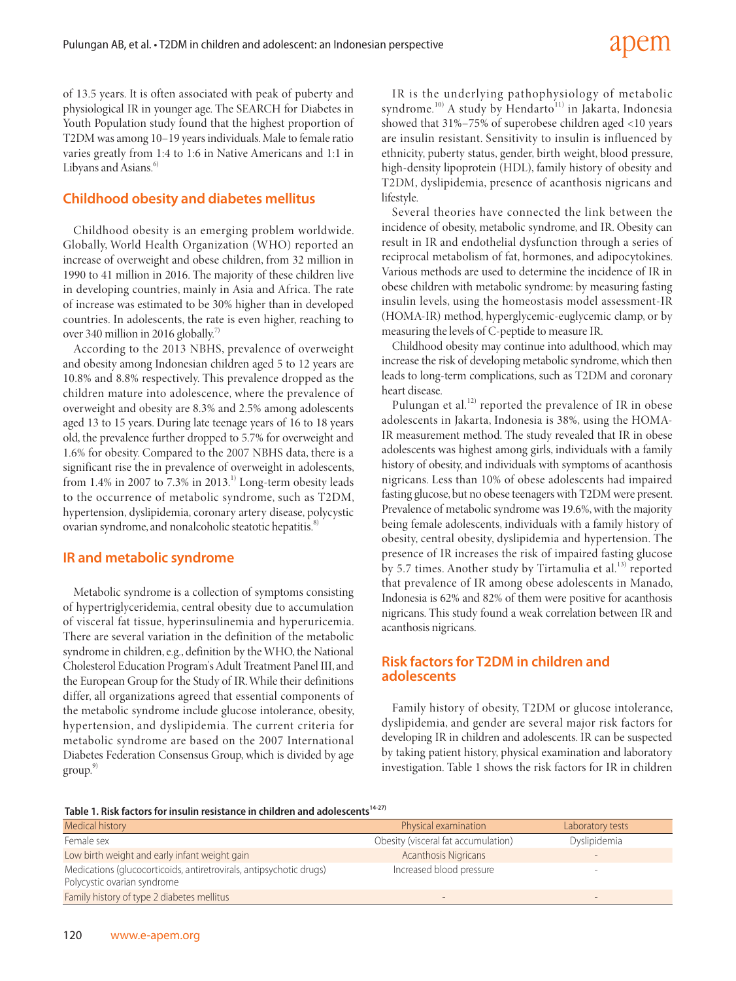of 13.5 years. It is often associated with peak of puberty and physiological IR in younger age. The SEARCH for Diabetes in Youth Population study found that the highest proportion of T2DM was among 10–19 years individuals. Male to female ratio varies greatly from 1:4 to 1:6 in Native Americans and 1:1 in Libyans and Asians.<sup>6</sup>

# **Childhood obesity and diabetes mellitus**

Childhood obesity is an emerging problem worldwide. Globally, World Health Organization (WHO) reported an increase of overweight and obese children, from 32 million in 1990 to 41 million in 2016. The majority of these children live in developing countries, mainly in Asia and Africa. The rate of increase was estimated to be 30% higher than in developed countries. In adolescents, the rate is even higher, reaching to over 340 million in 2016 globally.<sup>7)</sup>

According to the 2013 NBHS, prevalence of overweight and obesity among Indonesian children aged 5 to 12 years are 10.8% and 8.8% respectively. This prevalence dropped as the children mature into adolescence, where the prevalence of overweight and obesity are 8.3% and 2.5% among adolescents aged 13 to 15 years. During late teenage years of 16 to 18 years old, the prevalence further dropped to 5.7% for overweight and 1.6% for obesity. Compared to the 2007 NBHS data, there is a significant rise the in prevalence of overweight in adolescents, from 1.4% in 2007 to 7.3% in 2013.<sup>1)</sup> Long-term obesity leads to the occurrence of metabolic syndrome, such as T2DM, hypertension, dyslipidemia, coronary artery disease, polycystic ovarian syndrome, and nonalcoholic steatotic hepatitis.<sup>8)</sup>

# **IR and metabolic syndrome**

Metabolic syndrome is a collection of symptoms consisting of hypertriglyceridemia, central obesity due to accumulation of visceral fat tissue, hyperinsulinemia and hyperuricemia. There are several variation in the definition of the metabolic syndrome in children, e.g., definition by the WHO, the National Cholesterol Education Program's Adult Treatment Panel III, and the European Group for the Study of IR. While their definitions differ, all organizations agreed that essential components of the metabolic syndrome include glucose intolerance, obesity, hypertension, and dyslipidemia. The current criteria for metabolic syndrome are based on the 2007 International Diabetes Federation Consensus Group, which is divided by age  $group<sup>9</sup>$ 

IR is the underlying pathophysiology of metabolic syndrome.<sup>10)</sup> A study by Hendarto<sup>11)</sup> in Jakarta, Indonesia showed that 31%–75% of superobese children aged <10 years are insulin resistant. Sensitivity to insulin is influenced by ethnicity, puberty status, gender, birth weight, blood pressure, high-density lipoprotein (HDL), family history of obesity and T2DM, dyslipidemia, presence of acanthosis nigricans and lifestyle.

Several theories have connected the link between the incidence of obesity, metabolic syndrome, and IR. Obesity can result in IR and endothelial dysfunction through a series of reciprocal metabolism of fat, hormones, and adipocytokines. Various methods are used to determine the incidence of IR in obese children with metabolic syndrome: by measuring fasting insulin levels, using the homeostasis model assessment-IR (HOMA-IR) method, hyperglycemic-euglycemic clamp, or by measuring the levels of C-peptide to measure IR.

Childhood obesity may continue into adulthood, which may increase the risk of developing metabolic syndrome, which then leads to long-term complications, such as T2DM and coronary heart disease.

Pulungan et al.<sup>12)</sup> reported the prevalence of IR in obese adolescents in Jakarta, Indonesia is 38%, using the HOMA-IR measurement method. The study revealed that IR in obese adolescents was highest among girls, individuals with a family history of obesity, and individuals with symptoms of acanthosis nigricans. Less than 10% of obese adolescents had impaired fasting glucose, but no obese teenagers with T2DM were present. Prevalence of metabolic syndrome was 19.6%, with the majority being female adolescents, individuals with a family history of obesity, central obesity, dyslipidemia and hypertension. The presence of IR increases the risk of impaired fasting glucose by 5.7 times. Another study by Tirtamulia et al.<sup>13)</sup> reported that prevalence of IR among obese adolescents in Manado, Indonesia is 62% and 82% of them were positive for acanthosis nigricans. This study found a weak correlation between IR and acanthosis nigricans.

### **Risk factors for T2DM in children and adolescents**

Family history of obesity, T2DM or glucose intolerance, dyslipidemia, and gender are several major risk factors for developing IR in children and adolescents. IR can be suspected by taking patient history, physical examination and laboratory investigation. Table 1 shows the risk factors for IR in children

Table 1. Risk factors for insulin resistance in children and adolescents<sup>14-27)</sup>

| <b>Medical history</b>                                                                             | Physical examination                | Laboratory tests |
|----------------------------------------------------------------------------------------------------|-------------------------------------|------------------|
| Female sex                                                                                         | Obesity (visceral fat accumulation) | Dyslipidemia     |
| Low birth weight and early infant weight gain                                                      | <b>Acanthosis Nigricans</b>         | $-$              |
| Medications (glucocorticoids, antiretrovirals, antipsychotic drugs)<br>Polycystic ovarian syndrome | Increased blood pressure            | -                |
| Family history of type 2 diabetes mellitus                                                         |                                     |                  |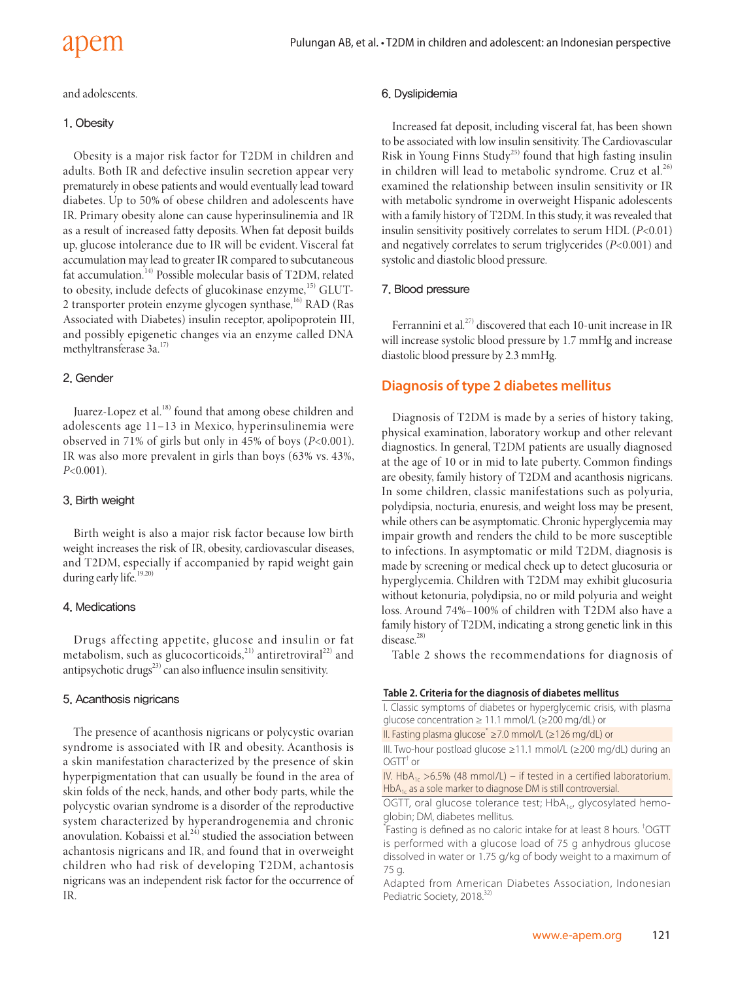and adolescents.

#### 1. Obesity

Obesity is a major risk factor for T2DM in children and adults. Both IR and defective insulin secretion appear very prematurely in obese patients and would eventually lead toward diabetes. Up to 50% of obese children and adolescents have IR. Primary obesity alone can cause hyperinsulinemia and IR as a result of increased fatty deposits. When fat deposit builds up, glucose intolerance due to IR will be evident. Visceral fat accumulation may lead to greater IR compared to subcutaneous fat accumulation.14) Possible molecular basis of T2DM, related to obesity, include defects of glucokinase enzyme,<sup>15)</sup> GLUT-2 transporter protein enzyme glycogen synthase, $^{16}$  RAD (Ras Associated with Diabetes) insulin receptor, apolipoprotein III, and possibly epigenetic changes via an enzyme called DNA methyltransferase 3a.<sup>17)</sup>

#### 2. Gender

Juarez-Lopez et al.<sup>18)</sup> found that among obese children and adolescents age 11–13 in Mexico, hyperinsulinemia were observed in 71% of girls but only in 45% of boys (*P*<0.001). IR was also more prevalent in girls than boys (63% vs. 43%, *P*<0.001).

#### 3. Birth weight

Birth weight is also a major risk factor because low birth weight increases the risk of IR, obesity, cardiovascular diseases, and T2DM, especially if accompanied by rapid weight gain during early life.<sup>19,20)</sup>

#### 4. Medications

Drugs affecting appetite, glucose and insulin or fat metabolism, such as glucocorticoids,<sup>21)</sup> antiretroviral<sup>22)</sup> and antipsychotic drugs $^{23)}$  can also influence insulin sensitivity.

#### 5. Acanthosis nigricans

The presence of acanthosis nigricans or polycystic ovarian syndrome is associated with IR and obesity. Acanthosis is a skin manifestation characterized by the presence of skin hyperpigmentation that can usually be found in the area of skin folds of the neck, hands, and other body parts, while the polycystic ovarian syndrome is a disorder of the reproductive system characterized by hyperandrogenemia and chronic anovulation. Kobaissi et al. $^{24}$  studied the association between achantosis nigricans and IR, and found that in overweight children who had risk of developing T2DM, achantosis nigricans was an independent risk factor for the occurrence of IR.

#### 6. Dyslipidemia

Increased fat deposit, including visceral fat, has been shown to be associated with low insulin sensitivity. The Cardiovascular Risk in Young Finns Study<sup>25)</sup> found that high fasting insulin in children will lead to metabolic syndrome. Cruz et al. $^{26)}$ examined the relationship between insulin sensitivity or IR with metabolic syndrome in overweight Hispanic adolescents with a family history of T2DM. In this study, it was revealed that insulin sensitivity positively correlates to serum HDL (*P*<0.01) and negatively correlates to serum triglycerides (*P*<0.001) and systolic and diastolic blood pressure.

#### 7. Blood pressure

Ferrannini et al.<sup>27)</sup> discovered that each 10-unit increase in IR will increase systolic blood pressure by 1.7 mmHg and increase diastolic blood pressure by 2.3 mmHg.

### **Diagnosis of type 2 diabetes mellitus**

Diagnosis of T2DM is made by a series of history taking, physical examination, laboratory workup and other relevant diagnostics. In general, T2DM patients are usually diagnosed at the age of 10 or in mid to late puberty. Common findings are obesity, family history of T2DM and acanthosis nigricans. In some children, classic manifestations such as polyuria, polydipsia, nocturia, enuresis, and weight loss may be present, while others can be asymptomatic. Chronic hyperglycemia may impair growth and renders the child to be more susceptible to infections. In asymptomatic or mild T2DM, diagnosis is made by screening or medical check up to detect glucosuria or hyperglycemia. Children with T2DM may exhibit glucosuria without ketonuria, polydipsia, no or mild polyuria and weight loss. Around 74%–100% of children with T2DM also have a family history of T2DM, indicating a strong genetic link in this disease.<sup>28)</sup>

Table 2 shows the recommendations for diagnosis of

#### **Table 2. Criteria for the diagnosis of diabetes mellitus**

I. Classic symptoms of diabetes or hyperglycemic crisis, with plasma glucose concentration ≥ 11.1 mmol/L (≥200 mg/dL) or

II. Fasting plasma glucose<sup>\*</sup> ≥7.0 mmol/L (≥126 mg/dL) or

III. Two-hour postload glucose ≥11.1 mmol/L (≥200 mg/dL) during an  $OGTT<sup>†</sup>$  or

IV. HbA<sub>1c</sub> >6.5% (48 mmol/L) – if tested in a certified laboratorium. HbA<sub>1c</sub> as a sole marker to diagnose DM is still controversial.

OGTT, oral glucose tolerance test;  $HbA_{1c}$ , glycosylated hemoglobin; DM, diabetes mellitus.

\* Fasting is defined as no caloric intake for at least 8 hours. † OGTT is performed with a glucose load of 75 g anhydrous glucose dissolved in water or 1.75 g/kg of body weight to a maximum of 75 g.

Adapted from American Diabetes Association, Indonesian Pediatric Society, 2018.<sup>32</sup>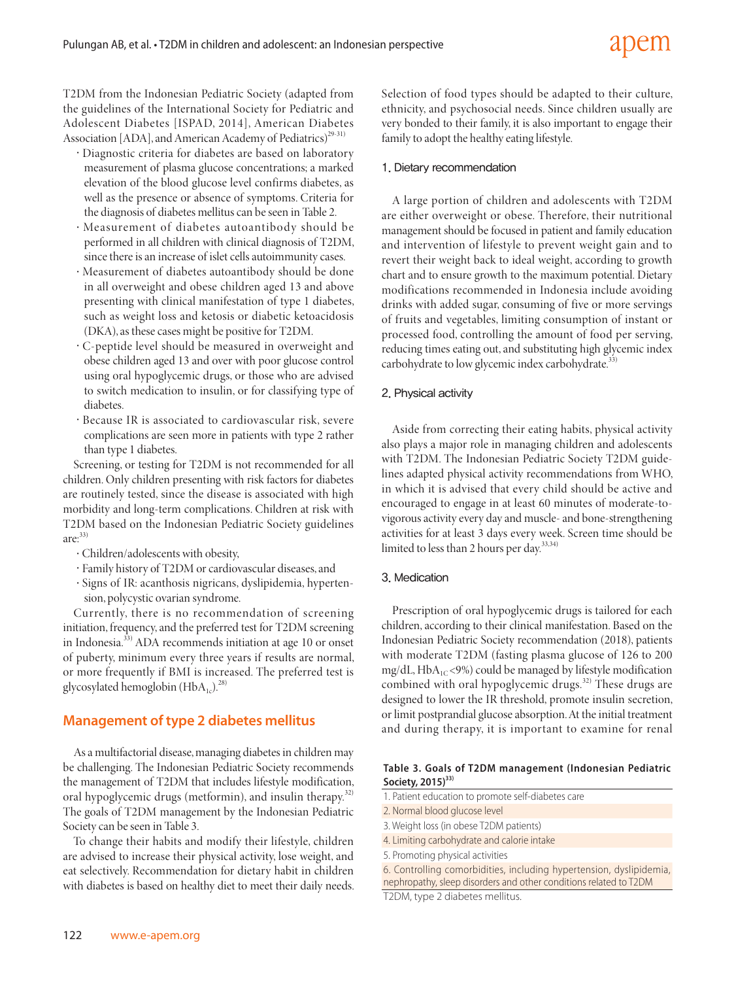T2DM from the Indonesian Pediatric Society (adapted from the guidelines of the International Society for Pediatric and Adolescent Diabetes [ISPAD, 2014], American Diabetes Association [ADA], and American Academy of Pediatrics)<sup>29-31)</sup>

- ·Diagnostic criteria for diabetes are based on laboratory measurement of plasma glucose concentrations; a marked elevation of the blood glucose level confirms diabetes, as well as the presence or absence of symptoms. Criteria for the diagnosis of diabetes mellitus can be seen in Table 2.
- ·Measurement of diabetes autoantibody should be performed in all children with clinical diagnosis of T2DM, since there is an increase of islet cells autoimmunity cases.
- ·Measurement of diabetes autoantibody should be done in all overweight and obese children aged 13 and above presenting with clinical manifestation of type 1 diabetes, such as weight loss and ketosis or diabetic ketoacidosis (DKA), as these cases might be positive for T2DM.
- ·C-peptide level should be measured in overweight and obese children aged 13 and over with poor glucose control using oral hypoglycemic drugs, or those who are advised to switch medication to insulin, or for classifying type of diabetes.
- ·Because IR is associated to cardiovascular risk, severe complications are seen more in patients with type 2 rather than type 1 diabetes.

Screening, or testing for T2DM is not recommended for all children. Only children presenting with risk factors for diabetes are routinely tested, since the disease is associated with high morbidity and long-term complications. Children at risk with T2DM based on the Indonesian Pediatric Society guidelines  $are^{33}$ 

- ·Children/adolescents with obesity,
- ·Family history of T2DM or cardiovascular diseases, and
- ·Signs of IR: acanthosis nigricans, dyslipidemia, hypertension, polycystic ovarian syndrome.

Currently, there is no recommendation of screening initiation, frequency, and the preferred test for T2DM screening in Indonesia.33) ADA recommends initiation at age 10 or onset of puberty, minimum every three years if results are normal, or more frequently if BMI is increased. The preferred test is glycosylated hemoglobin  $(HbA_{1c})^{28}$ 

#### **Management of type 2 diabetes mellitus**

As a multifactorial disease, managing diabetes in children may be challenging. The Indonesian Pediatric Society recommends the management of T2DM that includes lifestyle modification, oral hypoglycemic drugs (metformin), and insulin therapy.<sup>32)</sup> The goals of T2DM management by the Indonesian Pediatric Society can be seen in Table 3.

To change their habits and modify their lifestyle, children are advised to increase their physical activity, lose weight, and eat selectively. Recommendation for dietary habit in children with diabetes is based on healthy diet to meet their daily needs. Selection of food types should be adapted to their culture, ethnicity, and psychosocial needs. Since children usually are very bonded to their family, it is also important to engage their family to adopt the healthy eating lifestyle.

#### 1. Dietary recommendation

A large portion of children and adolescents with T2DM are either overweight or obese. Therefore, their nutritional management should be focused in patient and family education and intervention of lifestyle to prevent weight gain and to revert their weight back to ideal weight, according to growth chart and to ensure growth to the maximum potential. Dietary modifications recommended in Indonesia include avoiding drinks with added sugar, consuming of five or more servings of fruits and vegetables, limiting consumption of instant or processed food, controlling the amount of food per serving, reducing times eating out, and substituting high glycemic index carbohydrate to low glycemic index carbohydrate.<sup>33</sup>

#### 2. Physical activity

Aside from correcting their eating habits, physical activity also plays a major role in managing children and adolescents with T2DM. The Indonesian Pediatric Society T2DM guidelines adapted physical activity recommendations from WHO, in which it is advised that every child should be active and encouraged to engage in at least 60 minutes of moderate-tovigorous activity every day and muscle- and bone-strengthening activities for at least 3 days every week. Screen time should be limited to less than 2 hours per day.<sup>33,34)</sup>

#### 3. Medication

Prescription of oral hypoglycemic drugs is tailored for each children, according to their clinical manifestation. Based on the Indonesian Pediatric Society recommendation (2018), patients with moderate T2DM (fasting plasma glucose of 126 to 200  $mg/dL$ , HbA<sub>1C</sub> <9%) could be managed by lifestyle modification combined with oral hypoglycemic drugs. $32$ <sup>2)</sup> These drugs are designed to lower the IR threshold, promote insulin secretion, or limit postprandial glucose absorption. At the initial treatment and during therapy, it is important to examine for renal

#### **Table 3. Goals of T2DM management (Indonesian Pediatric**  Society, 2015)<sup>33)</sup>

- 1. Patient education to promote self-diabetes care
- 2. Normal blood glucose level
- 3. Weight loss (in obese T2DM patients)
- 4. Limiting carbohydrate and calorie intake
- 5. Promoting physical activities
- 6. Controlling comorbidities, including hypertension, dyslipidemia, nephropathy, sleep disorders and other conditions related to T2DM

T2DM, type 2 diabetes mellitus.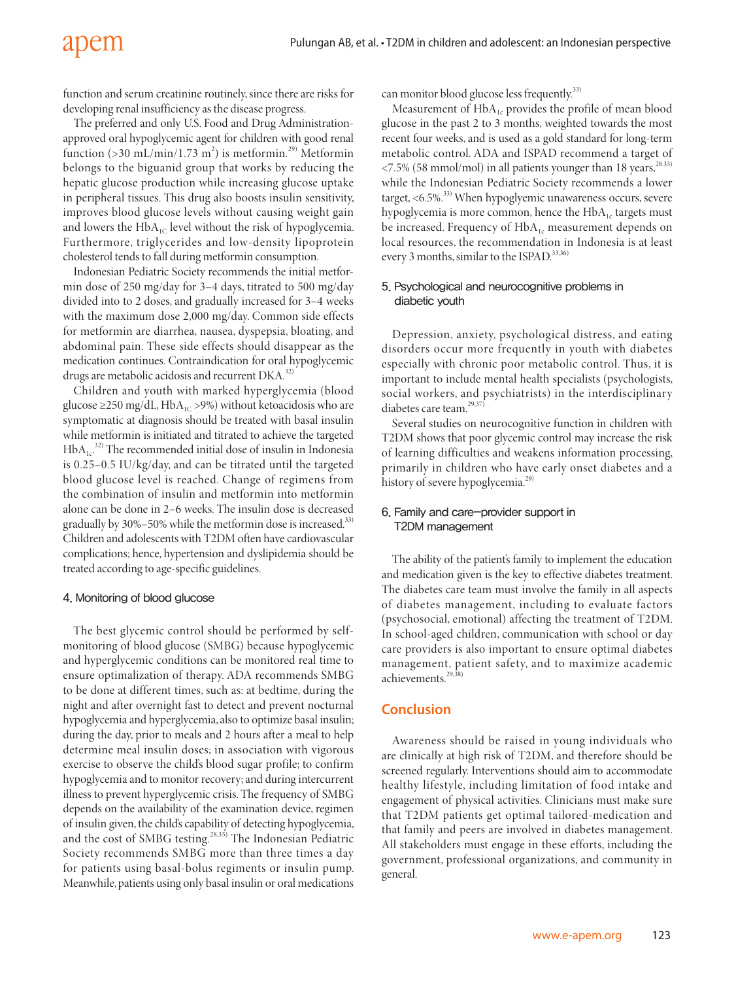function and serum creatinine routinely, since there are risks for developing renal insufficiency as the disease progress.

The preferred and only U.S. Food and Drug Administrationapproved oral hypoglycemic agent for children with good renal function (>30 mL/min/1.73 m<sup>2</sup>) is metformin.<sup>29)</sup> Metformin belongs to the biguanid group that works by reducing the hepatic glucose production while increasing glucose uptake in peripheral tissues. This drug also boosts insulin sensitivity, improves blood glucose levels without causing weight gain and lowers the  $HbA_{1C}$  level without the risk of hypoglycemia. Furthermore, triglycerides and low-density lipoprotein cholesterol tends to fall during metformin consumption.

Indonesian Pediatric Society recommends the initial metformin dose of 250 mg/day for 3–4 days, titrated to 500 mg/day divided into to 2 doses, and gradually increased for 3–4 weeks with the maximum dose 2,000 mg/day. Common side effects for metformin are diarrhea, nausea, dyspepsia, bloating, and abdominal pain. These side effects should disappear as the medication continues. Contraindication for oral hypoglycemic drugs are metabolic acidosis and recurrent DKA.<sup>32)</sup>

Children and youth with marked hyperglycemia (blood glucose  $\geq$ 250 mg/dL, HbA<sub>1C</sub> > 9%) without ketoacidosis who are symptomatic at diagnosis should be treated with basal insulin while metformin is initiated and titrated to achieve the targeted  $HbA<sub>1c</sub>$ <sup>32)</sup> The recommended initial dose of insulin in Indonesia is 0.25–0.5 IU/kg/day, and can be titrated until the targeted blood glucose level is reached. Change of regimens from the combination of insulin and metformin into metformin alone can be done in 2–6 weeks. The insulin dose is decreased gradually by  $30\% - 50\%$  while the metformin dose is increased.<sup>33)</sup> Children and adolescents with T2DM often have cardiovascular complications; hence, hypertension and dyslipidemia should be treated according to age-specific guidelines.

#### 4. Monitoring of blood glucose

The best glycemic control should be performed by selfmonitoring of blood glucose (SMBG) because hypoglycemic and hyperglycemic conditions can be monitored real time to ensure optimalization of therapy. ADA recommends SMBG to be done at different times, such as: at bedtime, during the night and after overnight fast to detect and prevent nocturnal hypoglycemia and hyperglycemia, also to optimize basal insulin; during the day, prior to meals and 2 hours after a meal to help determine meal insulin doses; in association with vigorous exercise to observe the child's blood sugar profile; to confirm hypoglycemia and to monitor recovery; and during intercurrent illness to prevent hyperglycemic crisis. The frequency of SMBG depends on the availability of the examination device, regimen of insulin given, the child's capability of detecting hypoglycemia, and the cost of SMBG testing.<sup>28,35)</sup> The Indonesian Pediatric Society recommends SMBG more than three times a day for patients using basal-bolus regiments or insulin pump. Meanwhile, patients using only basal insulin or oral medications

can monitor blood glucose less frequently.<sup>33)</sup>

Measurement of HbA<sub>1c</sub> provides the profile of mean blood glucose in the past 2 to 3 months, weighted towards the most recent four weeks, and is used as a gold standard for long-term metabolic control. ADA and ISPAD recommend a target of  $\langle 7.5\%$  (58 mmol/mol) in all patients younger than 18 years,<sup>28.33)</sup> while the Indonesian Pediatric Society recommends a lower target, <6.5%.<sup>33)</sup> When hypoglyemic unawareness occurs, severe hypoglycemia is more common, hence the  $HbA<sub>1c</sub>$  targets must be increased. Frequency of  $HbA_{1c}$  measurement depends on local resources, the recommendation in Indonesia is at least every 3 months, similar to the ISPAD.<sup>33,36)</sup>

#### 5. Psychological and neurocognitive problems in diabetic youth

Depression, anxiety, psychological distress, and eating disorders occur more frequently in youth with diabetes especially with chronic poor metabolic control. Thus, it is important to include mental health specialists (psychologists, social workers, and psychiatrists) in the interdisciplinary diabetes care team.<sup>29,37)</sup>

Several studies on neurocognitive function in children with T2DM shows that poor glycemic control may increase the risk of learning difficulties and weakens information processing, primarily in children who have early onset diabetes and a history of severe hypoglycemia.<sup>29)</sup>

#### 6. Family and care-provider support in T2DM management

The ability of the patient's family to implement the education and medication given is the key to effective diabetes treatment. The diabetes care team must involve the family in all aspects of diabetes management, including to evaluate factors (psychosocial, emotional) affecting the treatment of T2DM. In school-aged children, communication with school or day care providers is also important to ensure optimal diabetes management, patient safety, and to maximize academic achievements $29$ 

#### **Conclusion**

Awareness should be raised in young individuals who are clinically at high risk of T2DM, and therefore should be screened regularly. Interventions should aim to accommodate healthy lifestyle, including limitation of food intake and engagement of physical activities. Clinicians must make sure that T2DM patients get optimal tailored-medication and that family and peers are involved in diabetes management. All stakeholders must engage in these efforts, including the government, professional organizations, and community in general.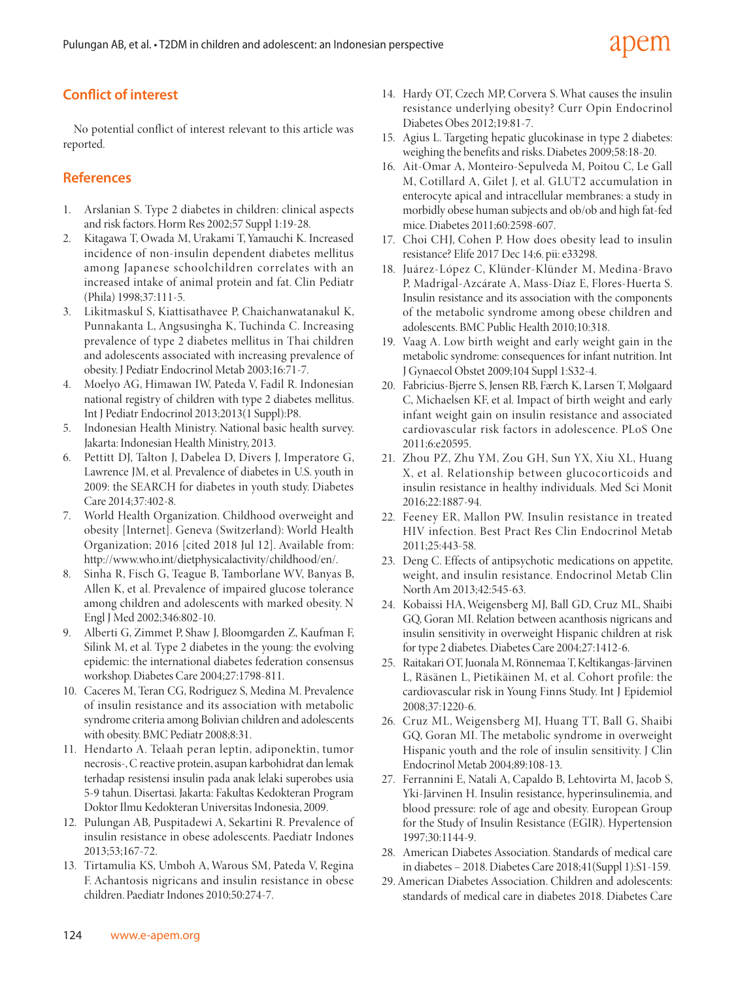# **Conflict of interest**

No potential conflict of interest relevant to this article was reported.

## **References**

- 1. Arslanian S. Type 2 diabetes in children: clinical aspects and risk factors. Horm Res 2002;57 Suppl 1:19-28.
- 2. Kitagawa T, Owada M, Urakami T, Yamauchi K. Increased incidence of non-insulin dependent diabetes mellitus among Japanese schoolchildren correlates with an increased intake of animal protein and fat. Clin Pediatr (Phila) 1998;37:111-5.
- 3. Likitmaskul S, Kiattisathavee P, Chaichanwatanakul K, Punnakanta L, Angsusingha K, Tuchinda C. Increasing prevalence of type 2 diabetes mellitus in Thai children and adolescents associated with increasing prevalence of obesity. J Pediatr Endocrinol Metab 2003;16:71-7.
- 4. Moelyo AG, Himawan IW, Pateda V, Fadil R. Indonesian national registry of children with type 2 diabetes mellitus. Int J Pediatr Endocrinol 2013;2013(1 Suppl):P8.
- 5. Indonesian Health Ministry. National basic health survey. Jakarta: Indonesian Health Ministry, 2013.
- 6. Pettitt DJ, Talton J, Dabelea D, Divers J, Imperatore G, Lawrence JM, et al. Prevalence of diabetes in U.S. youth in 2009: the SEARCH for diabetes in youth study. Diabetes Care 2014;37:402-8.
- 7. World Health Organization. Childhood overweight and obesity [Internet]. Geneva (Switzerland): World Health Organization; 2016 [cited 2018 Jul 12]. Available from: [http://www.who.int/dietphysicalactivity/childhood/en/.](http://www.who.int/dietphysicalactivity/childhood/en/)
- 8. Sinha R, Fisch G, Teague B, Tamborlane WV, Banyas B, Allen K, et al. Prevalence of impaired glucose tolerance among children and adolescents with marked obesity. N Engl J Med 2002;346:802-10.
- 9. Alberti G, Zimmet P, Shaw J, Bloomgarden Z, Kaufman F, Silink M, et al. Type 2 diabetes in the young: the evolving epidemic: the international diabetes federation consensus workshop. Diabetes Care 2004;27:1798-811.
- 10. Caceres M, Teran CG, Rodriguez S, Medina M. Prevalence of insulin resistance and its association with metabolic syndrome criteria among Bolivian children and adolescents with obesity. BMC Pediatr 2008;8:31.
- 11. Hendarto A. Telaah peran leptin, adiponektin, tumor necrosis-, C reactive protein, asupan karbohidrat dan lemak terhadap resistensi insulin pada anak lelaki superobes usia 5-9 tahun. Disertasi. Jakarta: Fakultas Kedokteran Program Doktor Ilmu Kedokteran Universitas Indonesia, 2009.
- 12. Pulungan AB, Puspitadewi A, Sekartini R. Prevalence of insulin resistance in obese adolescents. Paediatr Indones 2013;53;167-72.
- 13. Tirtamulia KS, Umboh A, Warous SM, Pateda V, Regina F. Achantosis nigricans and insulin resistance in obese children. Paediatr Indones 2010;50:274-7.
- 14. Hardy OT, Czech MP, Corvera S. What causes the insulin resistance underlying obesity? Curr Opin Endocrinol Diabetes Obes 2012;19:81-7.
- 15. Agius L. Targeting hepatic glucokinase in type 2 diabetes: weighing the benefits and risks. Diabetes 2009;58:18-20.
- 16. Ait-Omar A, Monteiro-Sepulveda M, Poitou C, Le Gall M, Cotillard A, Gilet J, et al. GLUT2 accumulation in enterocyte apical and intracellular membranes: a study in morbidly obese human subjects and ob/ob and high fat-fed mice. Diabetes 2011;60:2598-607.
- 17. Choi CHJ, Cohen P. How does obesity lead to insulin resistance? Elife 2017 Dec 14;6. pii: e33298.
- 18. Juárez-López C, Klünder-Klünder M, Medina-Bravo P, Madrigal-Azcárate A, Mass-Díaz E, Flores-Huerta S. Insulin resistance and its association with the components of the metabolic syndrome among obese children and adolescents. BMC Public Health 2010;10:318.
- 19. Vaag A. Low birth weight and early weight gain in the metabolic syndrome: consequences for infant nutrition. Int J Gynaecol Obstet 2009;104 Suppl 1:S32-4.
- 20. Fabricius-Bjerre S, Jensen RB, Færch K, Larsen T, Mølgaard C, Michaelsen KF, et al. Impact of birth weight and early infant weight gain on insulin resistance and associated cardiovascular risk factors in adolescence. PLoS One 2011;6:e20595.
- 21. Zhou PZ, Zhu YM, Zou GH, Sun YX, Xiu XL, Huang X, et al. Relationship between glucocorticoids and insulin resistance in healthy individuals. Med Sci Monit 2016;22:1887-94.
- 22. Feeney ER, Mallon PW. Insulin resistance in treated HIV infection. Best Pract Res Clin Endocrinol Metab 2011;25:443-58.
- 23. Deng C. Effects of antipsychotic medications on appetite, weight, and insulin resistance. Endocrinol Metab Clin North Am 2013;42:545-63.
- 24. Kobaissi HA, Weigensberg MJ, Ball GD, Cruz ML, Shaibi GQ, Goran MI. Relation between acanthosis nigricans and insulin sensitivity in overweight Hispanic children at risk for type 2 diabetes. Diabetes Care 2004;27:1412-6.
- 25. Raitakari OT, Juonala M, Rönnemaa T, Keltikangas-Järvinen L, Räsänen L, Pietikäinen M, et al. Cohort profile: the cardiovascular risk in Young Finns Study. Int J Epidemiol 2008;37:1220-6.
- 26. Cruz ML, Weigensberg MJ, Huang TT, Ball G, Shaibi GQ, Goran MI. The metabolic syndrome in overweight Hispanic youth and the role of insulin sensitivity. J Clin Endocrinol Metab 2004;89:108-13.
- 27. Ferrannini E, Natali A, Capaldo B, Lehtovirta M, Jacob S, Yki-Järvinen H. Insulin resistance, hyperinsulinemia, and blood pressure: role of age and obesity. European Group for the Study of Insulin Resistance (EGIR). Hypertension 1997;30:1144-9.
- 28. American Diabetes Association. Standards of medical care in diabetes – 2018. Diabetes Care 2018;41(Suppl 1):S1-159.
- 29. American Diabetes Association. Children and adolescents: standards of medical care in diabetes 2018. Diabetes Care